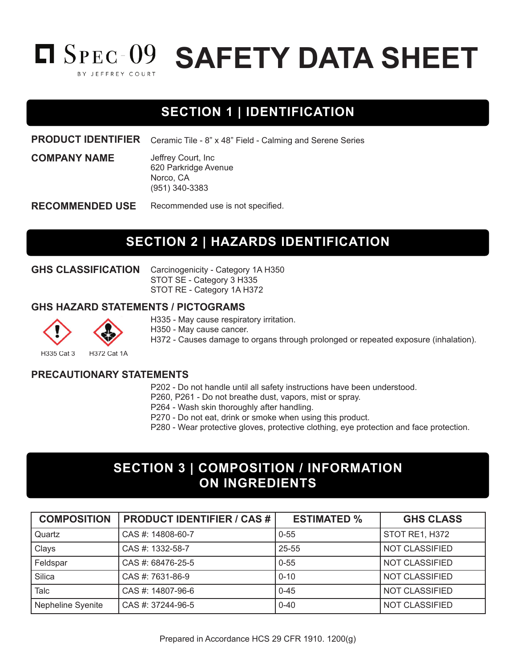

# **SECTION 1 | IDENTIFICATION**

**PRODUCT IDENTIFIER** Ceramic Tile - 8" x 48" Field - Calming and Serene Series

> Jeffrey Court, Inc 620 Parkridge Avenue Norco, CA (951) 340-3383

Recommended use is not specified. **RECOMMENDED USE**

### **SECTION 2 | HAZARDS IDENTIFICATION**

**GHS CLASSIFICATION**

**COMPANY NAME**

Carcinogenicity - Category 1A H350 STOT SE - Category 3 H335 STOT RE - Category 1A H372

#### **GHS HAZARD STATEMENTS / PICTOGRAMS**

H335 - May cause respiratory irritation.

H350 - May cause cancer.

H372 - Causes damage to organs through prolonged or repeated exposure (inhalation).

H335 Cat 3 H372 Cat 1A

**PRECAUTIONARY STATEMENTS**

P202 - Do not handle until all safety instructions have been understood.

P260, P261 - Do not breathe dust, vapors, mist or spray.

P264 - Wash skin thoroughly after handling.

P270 - Do not eat, drink or smoke when using this product.

P280 - Wear protective gloves, protective clothing, eye protection and face protection.

### **SECTION 3 | COMPOSITION / INFORMATION ON INGREDIENTS**

| <b>COMPOSITION</b> | <b>PRODUCT IDENTIFIER / CAS #</b> | <b>ESTIMATED %</b> | <b>GHS CLASS</b>      |
|--------------------|-----------------------------------|--------------------|-----------------------|
| Quartz             | CAS #: 14808-60-7                 | $0 - 55$           | STOT RE1, H372        |
| Clays              | CAS #: 1332-58-7                  | 25-55              | <b>NOT CLASSIFIED</b> |
| Feldspar           | CAS #: 68476-25-5                 | $0 - 55$           | NOT CLASSIFIED        |
| Silica             | CAS #: 7631-86-9                  | $0 - 10$           | NOT CLASSIFIED        |
| Talc               | CAS #: 14807-96-6                 | $0 - 45$           | NOT CLASSIFIED        |
| Nepheline Syenite  | CAS #: 37244-96-5                 | $0 - 40$           | NOT CLASSIFIED        |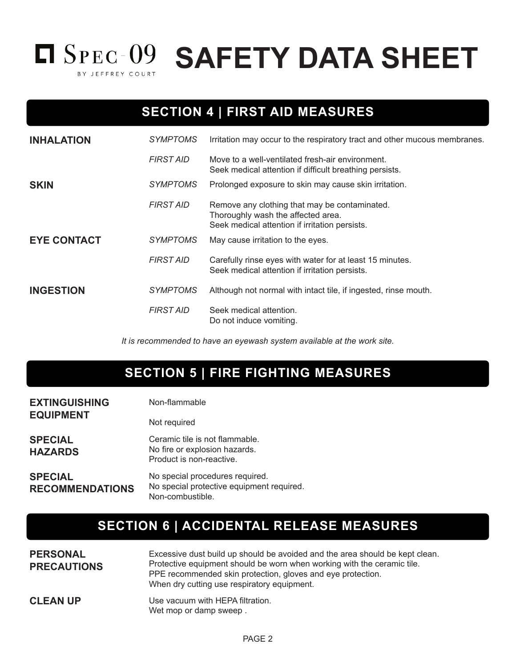

# **SECTION 4 | FIRST AID MEASURES**

| <b>INHALATION</b>  | <b>SYMPTOMS</b>  | Irritation may occur to the respiratory tract and other mucous membranes.                                                             |
|--------------------|------------------|---------------------------------------------------------------------------------------------------------------------------------------|
|                    | <b>FIRST AID</b> | Move to a well-ventilated fresh-air environment.<br>Seek medical attention if difficult breathing persists.                           |
| <b>SKIN</b>        | <b>SYMPTOMS</b>  | Prolonged exposure to skin may cause skin irritation.                                                                                 |
|                    | <b>FIRST AID</b> | Remove any clothing that may be contaminated.<br>Thoroughly wash the affected area.<br>Seek medical attention if irritation persists. |
| <b>EYE CONTACT</b> | <i>SYMPTOMS</i>  | May cause irritation to the eyes.                                                                                                     |
|                    | <b>FIRST AID</b> | Carefully rinse eyes with water for at least 15 minutes.<br>Seek medical attention if irritation persists.                            |
| <b>INGESTION</b>   | <b>SYMPTOMS</b>  | Although not normal with intact tile, if ingested, rinse mouth.                                                                       |
|                    | <b>FIRST AID</b> | Seek medical attention.<br>Do not induce vomiting.                                                                                    |

*It is recommended to have an eyewash system available at the work site.*

### **SECTION 5 | FIRE FIGHTING MEASURES**

| <b>EXTINGUISHING</b>                     | Non-flammable                                                                                    |
|------------------------------------------|--------------------------------------------------------------------------------------------------|
| <b>EQUIPMENT</b>                         | Not required                                                                                     |
| <b>SPECIAL</b><br><b>HAZARDS</b>         | Ceramic tile is not flammable.<br>No fire or explosion hazards.<br>Product is non-reactive.      |
| <b>SPECIAL</b><br><b>RECOMMENDATIONS</b> | No special procedures required.<br>No special protective equipment required.<br>Non-combustible. |

# **SECTION 6 | ACCIDENTAL RELEASE MEASURES**

| <b>PERSONAL</b><br><b>PRECAUTIONS</b> | Excessive dust build up should be avoided and the area should be kept clean.<br>Protective equipment should be worn when working with the ceramic tile.<br>PPE recommended skin protection, gloves and eye protection.<br>When dry cutting use respiratory equipment. |
|---------------------------------------|-----------------------------------------------------------------------------------------------------------------------------------------------------------------------------------------------------------------------------------------------------------------------|
| <b>CLEAN UP</b>                       | Use vacuum with HEPA filtration.<br>Wet mop or damp sweep.                                                                                                                                                                                                            |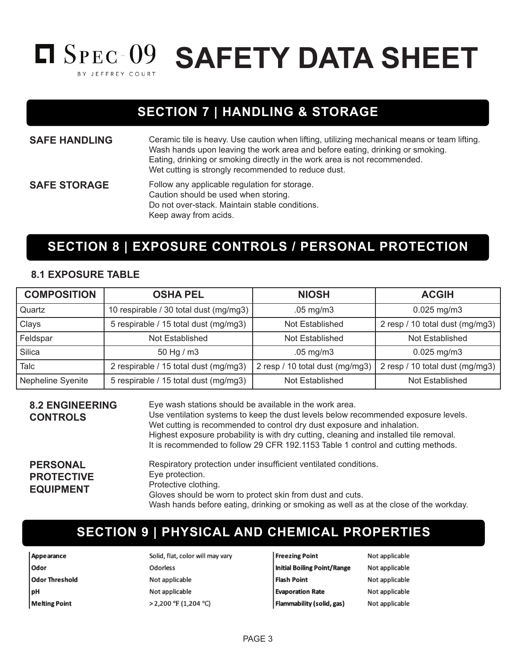

**SAFETY DATA SHEET**

### **SECTION 7 | HANDLING & STORAGE**

**SAFE HANDLING** Ceramic tile is heavy. Use caution when lifting, utilizing mechanical means or team lifting. Wash hands upon leaving the work area and before eating, drinking or smoking. Eating, drinking or smoking directly in the work area is not recommended. Wet cutting is strongly recommended to reduce dust. **SAFE STORAGE** Follow any applicable regulation for storage. Caution should be used when storing. Do not over-stack. Maintain stable conditions.

Keep away from acids.

### **SECTION 8 | EXPOSURE CONTROLS / PERSONAL PROTECTION**

#### **8.1 EXPOSURE TABLE**

| <b>COMPOSITION</b> | <b>OSHA PEL</b>                        | <b>NIOSH</b>                    | <b>ACGIH</b>                    |
|--------------------|----------------------------------------|---------------------------------|---------------------------------|
| Quartz             | 10 respirable / 30 total dust (mg/mg3) | $.05$ mg/m $3$                  | $0.025$ mg/m $3$                |
| Clays              | 5 respirable / 15 total dust (mg/mg3)  | Not Established                 | 2 resp / 10 total dust (mg/mg3) |
| Feldspar           | Not Established                        | Not Established                 | Not Established                 |
| Silica             | 50 Hg / m3                             | $.05$ mg/m $3$                  | $0.025$ mg/m3                   |
| Talc               | 2 respirable / 15 total dust (mg/mg3)  | 2 resp / 10 total dust (mg/mg3) | 2 resp / 10 total dust (mg/mg3) |
| Nepheline Syenite  | 5 respirable / 15 total dust (mg/mg3)  | Not Established                 | Not Established                 |

**8.2 ENGINEERING CONTROLS** Eye wash stations should be available in the work area. Use ventilation systems to keep the dust levels below recommended exposure levels. Wet cutting is recommended to control dry dust exposure and inhalation. Highest exposure probability is with dry cutting, cleaning and installed tile removal. It is recommended to follow 29 CFR 192.1153 Table 1 control and cutting methods. **PERSONAL PROTECTIVE EQUIPMENT** Respiratory protection under insufficient ventilated conditions. Eye protection. Protective clothing. Gloves should be worn to protect skin from dust and cuts. Wash hands before eating, drinking or smoking as well as at the close of the workday.

### **SECTION 9 | PHYSICAL AND CHEMICAL PROPERTIES**

Appearance Odor **Odor Threshold** pH **Melting Point** 

Solid, flat, color will may vary **Odorless** Not applicable Not applicable > 2,200 °F (1,204 °C)

**Freezing Point Initial Boiling Point/Range Flash Point Evaporation Rate** Flammability (solid, gas)

Not applicable Not applicable Not applicable Not applicable Not applicable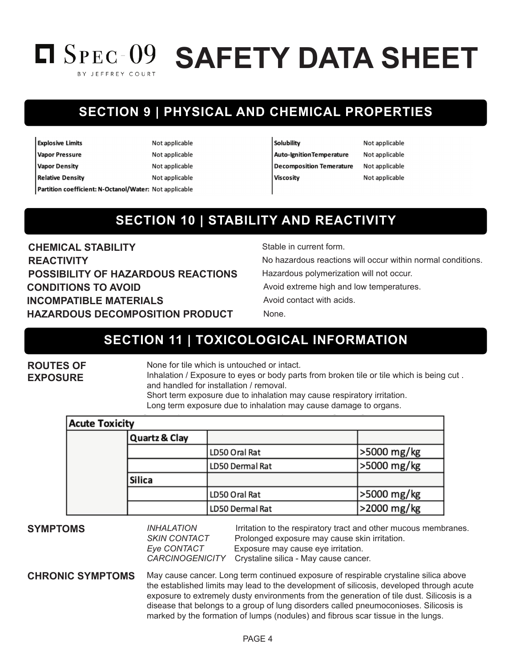# **SAFETY DATA SHEET** BY JEFFREY COURT

# **SECTION 9 | PHYSICAL AND CHEMICAL PROPERTIES**

| <b>Explosive Limits</b>                                | Not applicable |
|--------------------------------------------------------|----------------|
| <b>Vapor Pressure</b>                                  | Not applicable |
| <b>Vapor Density</b>                                   | Not applicable |
| <b>Relative Density</b>                                | Not applicable |
| Partition coefficient: N-Octanol/Water: Not applicable |                |

#### Solubility

| Auto-IgnitionTemperature        |
|---------------------------------|
| <b>Decomposition Temerature</b> |
| Viscosity                       |

Not applicable Not applicable Not applicable Not applicable

# **SECTION 10 | STABILITY AND REACTIVITY**

**CHEMICAL STABILITY** Stable in current form. **REACTIVITY REACTIVITY No hazardous reactions will occur within normal conditions. POSSIBILITY OF HAZARDOUS REACTIONS** Hazardous polymerization will not occur. **CONDITIONS TO AVOID** AND A VOID Avoid extreme high and low temperatures. **INCOMPATIBLE MATERIALS** Avoid contact with acids. **HAZARDOUS DECOMPOSITION PRODUCT** None.

### **SECTION 11 | TOXICOLOGICAL INFORMATION**

**ROUTES OF EXPOSURE**

None for tile which is untouched or intact.

Inhalation / Exposure to eyes or body parts from broken tile or tile which is being cut . and handled for installation / removal.

Short term exposure due to inhalation may cause respiratory irritation. Long term exposure due to inhalation may cause damage to organs.

| <b>Acute Toxicity</b> |                          |                        |             |
|-----------------------|--------------------------|------------------------|-------------|
|                       | <b>Quartz &amp; Clay</b> |                        |             |
|                       |                          | LD50 Oral Rat          | >5000 mg/kg |
|                       |                          | <b>LD50 Dermal Rat</b> | >5000 mg/kg |
|                       | <b>Silica</b>            |                        |             |
|                       |                          | LD50 Oral Rat          | >5000 mg/kg |
|                       |                          | LD50 Dermal Rat        | >2000 mg/kg |

**SYMPTOMS** *INHALATION* Irritation to the respiratory tract and other mucous membranes.<br>SKIN CONTACT Prolonged exposure may cause skin irritation. Prolonged exposure may cause skin irritation. *Eye CONTACT* Exposure may cause eye irritation. *CARCINOGENICITY* Crystaline silica - May cause cancer.

**CHRONIC SYMPTOMS** May cause cancer. Long term continued exposure of respirable crystaline silica above the established limits may lead to the development of silicosis, developed through acute exposure to extremely dusty environments from the generation of tile dust. Silicosis is a disease that belongs to a group of lung disorders called pneumoconioses. Silicosis is marked by the formation of lumps (nodules) and fibrous scar tissue in the lungs.